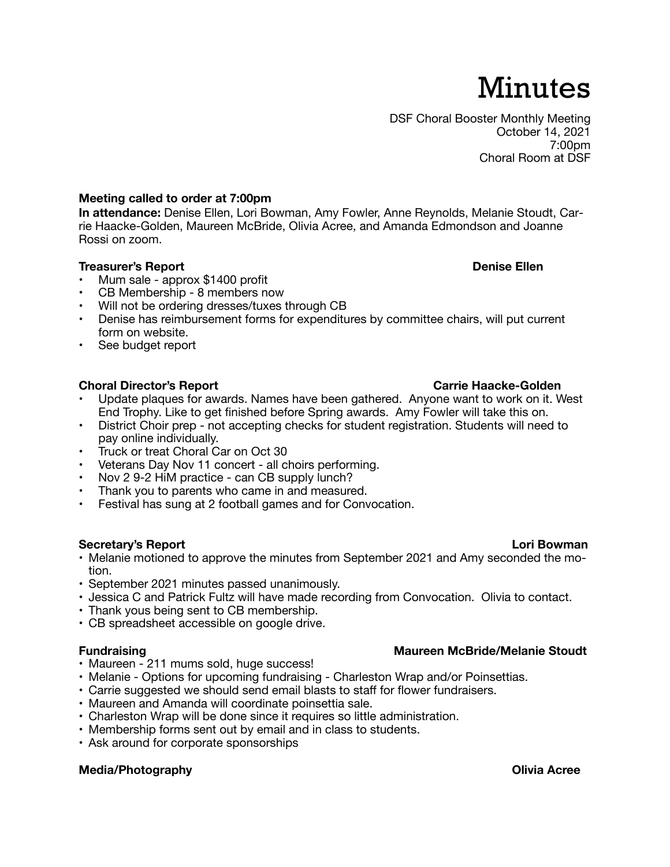# Minutes

DSF Choral Booster Monthly Meeting October 14, 2021 7:00pm Choral Room at DSF

# **Meeting called to order at 7:00pm**

**In attendance:** Denise Ellen, Lori Bowman, Amy Fowler, Anne Reynolds, Melanie Stoudt, Carrie Haacke-Golden, Maureen McBride, Olivia Acree, and Amanda Edmondson and Joanne Rossi on zoom.

# **Treasurer's Report Community Community Community Community Community Community Community Community Community Community Community Community Community Community Community Community Community Community Community Community Co**

- Mum sale approx \$1400 profit
- CB Membership 8 members now
- Will not be ordering dresses/tuxes through CB
- Denise has reimbursement forms for expenditures by committee chairs, will put current form on website.
- See budget report

# **Choral Director's Report Carrie Haacke-Golden Carrie Haacke-Golden**

- Update plaques for awards. Names have been gathered. Anyone want to work on it. West End Trophy. Like to get finished before Spring awards. Amy Fowler will take this on.
- District Choir prep not accepting checks for student registration. Students will need to pay online individually.
- Truck or treat Choral Car on Oct 30
- Veterans Day Nov 11 concert all choirs performing.
- Nov 2 9-2 HiM practice can CB supply lunch?
- Thank you to parents who came in and measured.
- Festival has sung at 2 football games and for Convocation.

### **Secretary's Report Lori Bowman**

- Melanie motioned to approve the minutes from September 2021 and Amy seconded the motion.
- September 2021 minutes passed unanimously.
- Jessica C and Patrick Fultz will have made recording from Convocation. Olivia to contact.
- Thank yous being sent to CB membership.
- CB spreadsheet accessible on google drive.

## **Fundraising Maureen McBride/Melanie Stoudt**

- Maureen 211 mums sold, huge success!
- Melanie Options for upcoming fundraising Charleston Wrap and/or Poinsettias.
- Carrie suggested we should send email blasts to staff for flower fundraisers.
- Maureen and Amanda will coordinate poinsettia sale.
- Charleston Wrap will be done since it requires so little administration.
- Membership forms sent out by email and in class to students.
- Ask around for corporate sponsorships

## **Media/Photography Olivia Acree**